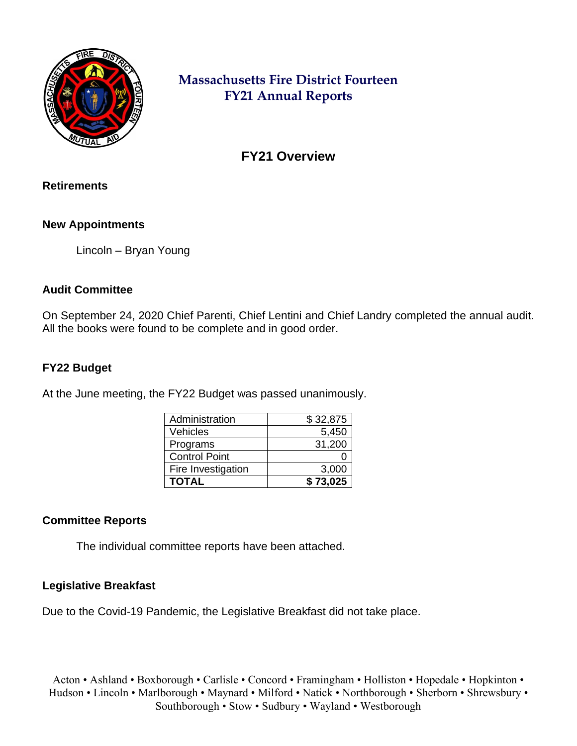

# **Massachusetts Fire District Fourteen FY21 Annual Reports**

**FY21 Overview**

#### **Retirements**

## **New Appointments**

Lincoln – Bryan Young

## **Audit Committee**

On September 24, 2020 Chief Parenti, Chief Lentini and Chief Landry completed the annual audit. All the books were found to be complete and in good order.

## **FY22 Budget**

At the June meeting, the FY22 Budget was passed unanimously.

| Administration       | \$32,875 |
|----------------------|----------|
| Vehicles             | 5,450    |
| Programs             | 31,200   |
| <b>Control Point</b> |          |
| Fire Investigation   | 3,000    |
| <b>TOTAL</b>         | \$73,025 |

#### **Committee Reports**

The individual committee reports have been attached.

#### **Legislative Breakfast**

Due to the Covid-19 Pandemic, the Legislative Breakfast did not take place.